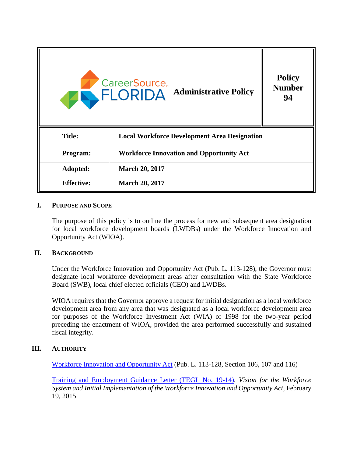

#### **I. PURPOSE AND SCOPE**

The purpose of this policy is to outline the process for new and subsequent area designation for local workforce development boards (LWDBs) under the Workforce Innovation and Opportunity Act (WIOA).

#### **II. BACKGROUND**

Under the Workforce Innovation and Opportunity Act (Pub. L. 113-128), the Governor must designate local workforce development areas after consultation with the State Workforce Board (SWB), local chief elected officials (CEO) and LWDBs.

WIOA requires that the Governor approve a request for initial designation as a local workforce development area from any area that was designated as a local workforce development area for purposes of the Workforce Investment Act (WIA) of 1998 for the two-year period preceding the enactment of WIOA, provided the area performed successfully and sustained fiscal integrity.

## **III. AUTHORITY**

[Workforce Innovation and Opportunity Act](https://www.gpo.gov/fdsys/pkg/PLAW-113publ128/pdf/PLAW-113publ128.pdf) (Pub. L. 113-128, Section 106, 107 and 116)

[Training and Employment Guidance Letter \(TEGL No. 19-14\)](https://wdr.doleta.gov/directives/corr_doc.cfm?DOCN=7353), *Vision for the Workforce System and Initial Implementation of the Workforce Innovation and Opportunity Act*, February 19, 2015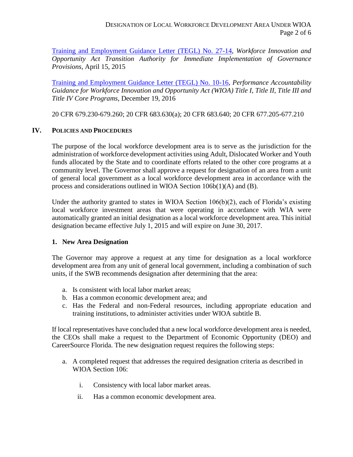[Training and Employment Guidance Letter \(TEGL\) No. 27-14,](https://wdr.doleta.gov/directives/corr_doc.cfm?DOCN=7158) *Workforce Innovation and Opportunity Act Transition Authority for Immediate Implementation of Governance Provisions*, April 15, 2015

[Training and Employment Guidance Letter \(TEGL\) No. 10-16,](https://wdr.doleta.gov/directives/corr_doc.cfm?DOCN=8226) *Performance Accountability Guidance for Workforce Innovation and Opportunity Act (WIOA) Title I, Title II, Title III and Title IV Core Programs*, December 19, 2016

20 CFR 679.230-679.260; 20 CFR 683.630(a); 20 CFR 683.640; 20 CFR 677.205-677.210

# **IV. POLICIES AND PROCEDURES**

The purpose of the local workforce development area is to serve as the jurisdiction for the administration of workforce development activities using Adult, Dislocated Worker and Youth funds allocated by the State and to coordinate efforts related to the other core programs at a community level. The Governor shall approve a request for designation of an area from a unit of general local government as a local workforce development area in accordance with the process and considerations outlined in WIOA Section 106b(1)(A) and (B).

Under the authority granted to states in WIOA Section  $106(b)(2)$ , each of Florida's existing local workforce investment areas that were operating in accordance with WIA were automatically granted an initial designation as a local workforce development area. This initial designation became effective July 1, 2015 and will expire on June 30, 2017.

# **1. New Area Designation**

The Governor may approve a request at any time for designation as a local workforce development area from any unit of general local government, including a combination of such units, if the SWB recommends designation after determining that the area:

- a. Is consistent with local labor market areas;
- b. Has a common economic development area; and
- c. Has the Federal and non-Federal resources, including appropriate education and training institutions, to administer activities under WIOA subtitle B.

If local representatives have concluded that a new local workforce development area is needed, the CEOs shall make a request to the Department of Economic Opportunity (DEO) and CareerSource Florida. The new designation request requires the following steps:

- a. A completed request that addresses the required designation criteria as described in WIOA Section 106:
	- i. Consistency with local labor market areas.
	- ii. Has a common economic development area.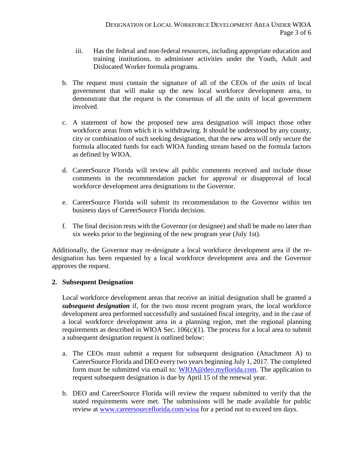- iii. Has the federal and non-federal resources, including appropriate education and training institutions, to administer activities under the Youth, Adult and Dislocated Worker formula programs.
- b. The request must contain the signature of all of the CEOs of the units of local government that will make up the new local workforce development area, to demonstrate that the request is the consensus of all the units of local government involved.
- c. A statement of how the proposed new area designation will impact those other workforce areas from which it is withdrawing. It should be understood by any county, city or combination of such seeking designation, that the new area will only secure the formula allocated funds for each WIOA funding stream based on the formula factors as defined by WIOA.
- d. CareerSource Florida will review all public comments received and include those comments in the recommendation packet for approval or disapproval of local workforce development area designations to the Governor.
- e. CareerSource Florida will submit its recommendation to the Governor within ten business days of CareerSource Florida decision.
- f. The final decision rests with the Governor (or designee) and shall be made no later than six weeks prior to the beginning of the new program year (July 1st).

Additionally, the Governor may re-designate a local workforce development area if the redesignation has been requested by a local workforce development area and the Governor approves the request.

## **2. Subsequent Designation**

Local workforce development areas that receive an initial designation shall be granted a *subsequent designation* if, for the two most recent program years, the local workforce development area performed successfully and sustained fiscal integrity, and in the case of a local workforce development area in a planning region, met the regional planning requirements as described in WIOA Sec.  $106(c)(1)$ . The process for a local area to submit a subsequent designation request is outlined below:

- a. The CEOs must submit a request for subsequent designation (Attachment A) to CareerSource Florida and DEO every two years beginning July 1, 2017. The completed form must be submitted via email to: [WIOA@deo.myflorida.com.](mailto:WIOA@deo.myflorida.com) The application to request subsequent designation is due by April 15 of the renewal year.
- b. DEO and CareerSource Florida will review the request submitted to verify that the stated requirements were met. The submissions will be made available for public review at [www.careersourceflorida.com/wioa](http://www.careersourceflorida.com/wioa) for a period not to exceed ten days.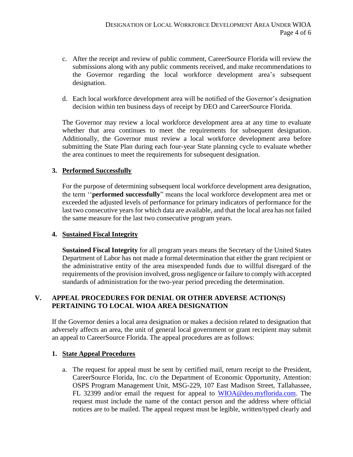- c. After the receipt and review of public comment, CareerSource Florida will review the submissions along with any public comments received, and make recommendations to the Governor regarding the local workforce development area's subsequent designation.
- d. Each local workforce development area will be notified of the Governor's designation decision within ten business days of receipt by DEO and CareerSource Florida.

The Governor may review a local workforce development area at any time to evaluate whether that area continues to meet the requirements for subsequent designation. Additionally, the Governor must review a local workforce development area before submitting the State Plan during each four-year State planning cycle to evaluate whether the area continues to meet the requirements for subsequent designation.

## **3. Performed Successfully**

For the purpose of determining subsequent local workforce development area designation, the term ''**performed successfully**" means the local workforce development area met or exceeded the adjusted levels of performance for primary indicators of performance for the last two consecutive years for which data are available, and that the local area has not failed the same measure for the last two consecutive program years.

#### **4. Sustained Fiscal Integrity**

**Sustained Fiscal Integrity** for all program years means the Secretary of the United States Department of Labor has not made a formal determination that either the grant recipient or the administrative entity of the area misexpended funds due to willful disregard of the requirements of the provision involved, gross negligence or failure to comply with accepted standards of administration for the two-year period preceding the determination.

## **V. APPEAL PROCEDURES FOR DENIAL OR OTHER ADVERSE ACTION(S) PERTAINING TO LOCAL WIOA AREA DESIGNATION**

If the Governor denies a local area designation or makes a decision related to designation that adversely affects an area, the unit of general local government or grant recipient may submit an appeal to CareerSource Florida. The appeal procedures are as follows:

## **1. State Appeal Procedures**

a. The request for appeal must be sent by certified mail, return receipt to the President, CareerSource Florida, Inc. c/o the Department of Economic Opportunity, Attention: OSPS Program Management Unit, MSG-229, 107 East Madison Street, Tallahassee, FL 32399 and/or email the request for appeal to [WIOA@deo.myflorida.com.](mailto:WIOA@deo.myflorida.com) The request must include the name of the contact person and the address where official notices are to be mailed. The appeal request must be legible, written/typed clearly and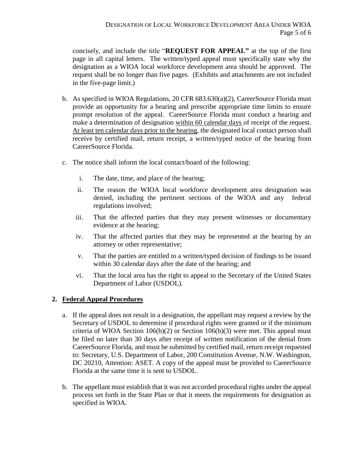concisely, and include the title "**REQUEST FOR APPEAL"** at the top of the first page in all capital letters. The written/typed appeal must specifically state why the designation as a WIOA local workforce development area should be approved. The request shall be no longer than five pages. (Exhibits and attachments are not included in the five-page limit.)

- b. As specified in WIOA Regulations,  $20$  CFR 683.630(a)(2), CareerSource Florida must provide an opportunity for a hearing and prescribe appropriate time limits to ensure prompt resolution of the appeal. CareerSource Florida must conduct a hearing and make a determination of designation within 60 calendar days of receipt of the request. At least ten calendar days prior to the hearing, the designated local contact person shall receive by certified mail, return receipt, a written/typed notice of the hearing from CareerSource Florida.
- c. The notice shall inform the local contact/board of the following:
	- i. The date, time, and place of the hearing;
	- ii. The reason the WIOA local workforce development area designation was denied, including the pertinent sections of the WIOA and any federal regulations involved;
	- iii. That the affected parties that they may present witnesses or documentary evidence at the hearing;
	- iv. That the affected parties that they may be represented at the hearing by an attorney or other representative;
	- v. That the parties are entitled to a written/typed decision of findings to be issued within 30 calendar days after the date of the hearing; and
	- vi. That the local area has the right to appeal to the Secretary of the United States Department of Labor (USDOL).

## **2. Federal Appeal Procedures**

- a. If the appeal does not result in a designation, the appellant may request a review by the Secretary of USDOL to determine if procedural rights were granted or if the minimum criteria of WIOA Section  $106(b)(2)$  or Section  $106(b)(3)$  were met. This appeal must be filed no later than 30 days after receipt of written notification of the denial from CareerSource Florida, and must be submitted by certified mail, return receipt requested to: Secretary, U.S. Department of Labor, 200 Constitution Avenue, N.W. Washington, DC 20210, Attention: ASET. A copy of the appeal must be provided to CareerSource Florida at the same time it is sent to USDOL.
- b. The appellant must establish that it was not accorded procedural rights under the appeal process set forth in the State Plan or that it meets the requirements for designation as specified in WIOA.